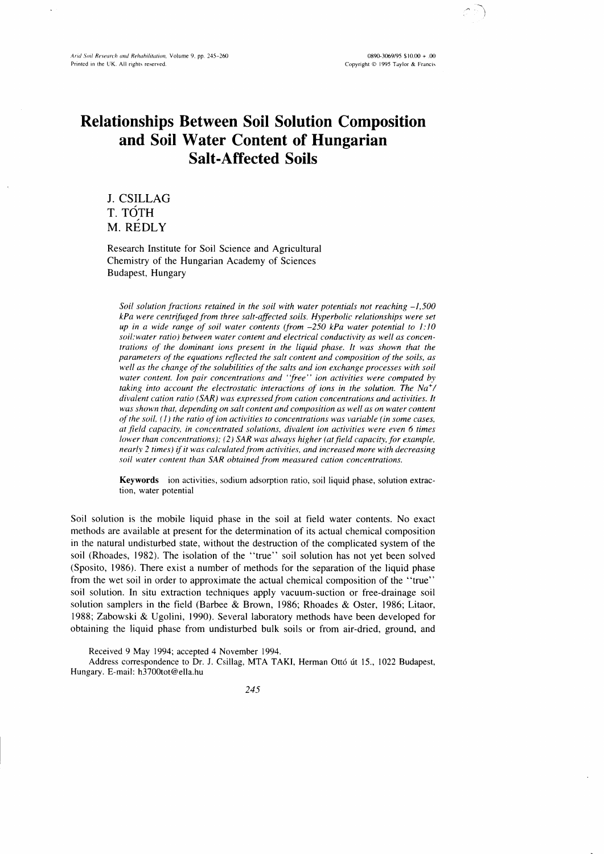$0890 - 3069/95$  \$10.00 + .00 Copyright @ 1995 Taylor & Francis

# Relationships Between Soil Solution Composition and Soil Water Content of Hungarian Salt-Affected Soils

J. CSILLAG T. TOTH M. REDLY

Research lnstitute for Soil Science and Agricultural Chemistry of the Hungarian Academy of Sciences Budapest, Hungary

Soil solution fractions retained in the soil with water potentials not reaching  $-1,500$ kPa were centrifuged from three salt-affected soils. Hvperbolic relationships were set up in a wide range of soil water contents (from  $-250$  kPa water potential to 1:10 soil:water ratio) between water content and electrical conductivity as well as concentrations of the dominant ions present in the liquid phase. It was shown that the parameters of the equations reflected the salt content and composition of the soils, as well as the change of the solubilities of the salts and ion exchange processes with soil water content. Ion pair concentrations and "free" ion activities were computed by taking into account the electrostatic interactions of ions in the solution. The  $Na^+$ / divalent cation ratio (SAR) was expressed from cation concentrations and activities. It was shown that, depending on salt content and composition as well as on water content of the soil,  $(1)$  the ratio of ion activities to concentrations was variable (in some cases, at field capacity, in concentrated solutions, divalent ion activities were even 6 times lower than concentrations); (2) SAR was always higher (at field capacity, for example, nearly 2 times) if it was calculated from activities, and increased more with decreasing soil water content than SAR obtained from measured cation concentrations.

Keywords ion activities, sodium adsorption ratio, soil liquid phase, solution extraction, water potential

Soil solution is the mobile liquid phase in the soil at field water contents. No exact methods are available at present for the determination of its actual chemical composition in the natural undisturbed state, without the destruction of the complicated system of the soil (Rhoades, 1982). The isolation of the "true" soil solution has not yet been solved (Sposito, 1986). There exist a number of methods for the separation of the liquid phase from the wet soil in order to approximate the actual chemical composition of the "true" soil solution. In situ extraction techniques apply vacuum-suction or free-drainage soil solution samplers in the field (Barbee & Brown, 1986; Rhoades & Oster, 1986; Litaor, 1988; Zabowski & Ugolini, 1990). Several laboratory methods have been developed for obtaining the liquid phase from undisturbed bulk soils or from air-dried, ground, and

Received 9 May 1994; accepted 4 November 1994.

Address correspondence to Dr. J. Csillag, MTA TAKI, Herman Ottó út 15., 1022 Budapest, Hungary. E-mail: h3700tot@ella.hu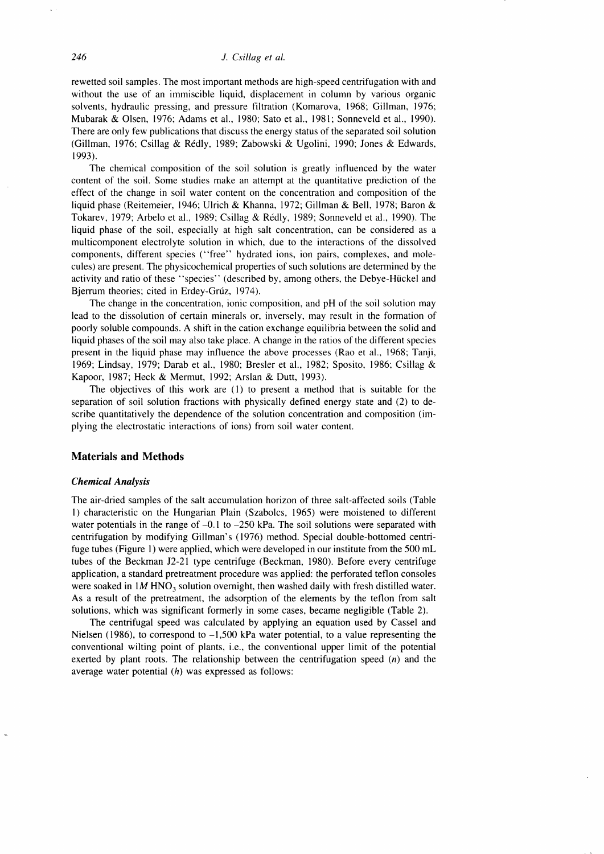rewetted soil samples. The most important methods are high-speed centrifugation with and without the use of an immiscible liquid, displacement in column by various organic solvents, hydraulic pressing, and pressure filtration (Komarova, 1968; Gillman, 1976, Mubarak & Olsen, 1976: Adams et al., 1980; Sato et al., l98l; Sonneveld et al., 1990). There are only few publications that discuss the energy status of the separated soil solution (Gillman, 1976; Csillag & Rédly, 1989; Zabowski & Ugolini, 1990; Jones & Edwards, 1993).

The chemical composition of the soil solution is greatly influenced by the water content of the soil. Some studies make an attempt at the quantitative prediction of the effect of the change in soil water content on the concentration and composition of the liquid phase (Reitemeier, 1946; Ulrich & Khanna,1972; Gillman & Bell, 1978; Baron & Tokarev, 1979; Arbelo et al., 1989; Csillag & R6dly, 1989; Sonneveld et al., 1990). The liquid phase of the soil, especially at high salt concentration, can be considered as a multicomponent electrolyte solution in which, due to the interactions of the dissolved components, different species ("free" hydrated ions, ion pairs, complexes, and molecules) are present. The physicochemical properties of such solutions are determined by the activity and ratio of these "species" (described by, among others, the Debye-Hückel and Bjerrum theories; cited in Erdey-Grúz, 1974).

The change in the concentration, ionic composition, and pH of the soil solution may lead to the dissolution of certain minerals or, inversely, may result in the formation of poorly soluble compounds. A shift in the cation exchange equilibria between the solid and liquid phases of the soil may also take place. A change in the ratios of the different species present in the liquid phase may influence the above processes (Rao et al., 1968; Tanji, 1969; Lindsay, 1979; Darab et al., 1980; Bresler et al., 1982; Sposito, 1986; Csillag & Kapoor, 1987: Heck & Mermut, 1992; Arslan & Dutt, 1993).

The objectives of this work are (1) to present a method that is suitable for the separation of soil solution fractions with physically defined energy state and (2) to describe quantitatively the dependence of the solution concentration and composition (implying the electrostatic interactions of ions) from soil water content.

## Materials and Methods

#### Chemical Analysis

The air-dried samples of the salt accumulation horizon of three salt-affected soils (Table l) characteristic on the Hungarian Plain (Szabolcs, 1965) were moistened to different water potentials in the range of  $-0.1$  to  $-250$  kPa. The soil solutions were separated with centrifugation by modifying Gillman's (1976) method. Special double-bottomed centrifuge tubes (Figure 1) were applied, which were developed in our institute from the 500 mL tubes of the Beckman J2-21 type centrifuge (Beckman, 1980). Before every centrifuge application, a standard pretreatment procedure was applied: the perforated teflon consoles were soaked in  $1M HNO<sub>3</sub>$  solution overnight, then washed daily with fresh distilled water. As a result of the pretreatment, the adsorption of the elements by the teflon from salt solutions, which was significant formerly in some cases, became negligible (Table 2).

The centrifugal speed was calculated by applying an equation used by Cassel and Nielsen (1986), to correspond to  $-1,500$  kPa water potential, to a value representing the conventional wilting point of plants, i.e., the conventional upper limit of the potential exerted by plant roots. The relationship between the centrifugation speed  $(n)$  and the average water potential  $(h)$  was expressed as follows: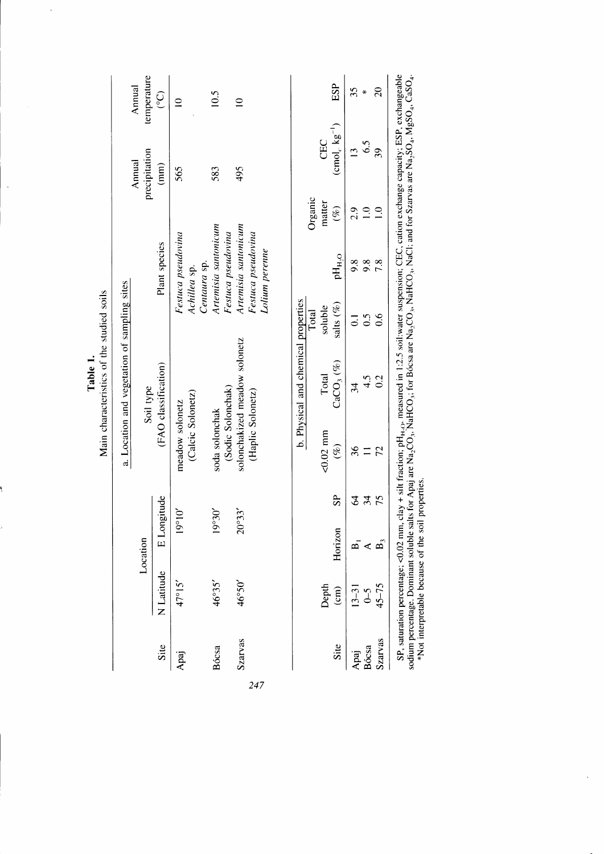|                |                       |                 |              |                                      | a. Location and vegetation of sampling sites |                    |                                            |                  |                          |                               |
|----------------|-----------------------|-----------------|--------------|--------------------------------------|----------------------------------------------|--------------------|--------------------------------------------|------------------|--------------------------|-------------------------------|
|                |                       | Location        |              |                                      |                                              |                    |                                            |                  | Annual                   | Annual                        |
| Site           | N Latitude            |                 |              |                                      | (FAO classification)<br>Soil type            |                    | Plant species                              |                  | precipitation<br>(mm)    | temperature<br>$\overline{C}$ |
|                |                       | E Longitude     |              |                                      |                                              |                    |                                            |                  |                          |                               |
| Apaj           | $47^{\circ}15'$       | $19^{\circ}10'$ |              | (Calcic Solonetz)<br>meadow solonetz |                                              |                    | Festuca pseudovina<br>Achillea sp.         |                  | 565                      | $\subseteq$                   |
|                |                       |                 |              |                                      |                                              |                    | Centaura sp.                               |                  | 583                      | 10.5                          |
| Bócsa          | 46°35'                | 06.61           |              | (Sodic Solonchak)<br>soda solonchak  |                                              |                    | Artemisia santonicum<br>Festuca pseudovina |                  |                          |                               |
| <b>Szarvas</b> | 46°50'                | 20°33'          |              |                                      | solonchakized meadow solonetz                |                    | Artemisia santonicum                       |                  | 495                      | $\supseteq$                   |
|                |                       |                 |              | (Haplic Solonetz)                    |                                              |                    | Festuca pseudovina                         |                  |                          |                               |
|                |                       |                 |              |                                      |                                              |                    | Lolium perenne                             |                  |                          |                               |
|                |                       |                 |              |                                      | b. Physical and chemical properties          |                    |                                            |                  |                          |                               |
|                |                       |                 |              |                                      |                                              | Total              |                                            | Organic          |                          |                               |
|                | Depth                 |                 |              | $0.02$ mm                            | Total                                        | soluble            |                                            | matter           | CEC                      |                               |
| Site           | $\widehat{\text{cm}}$ | Horizon         | $\mathbf{e}$ | $(\%)$                               | $\text{CaCO}_3~(\%)$                         | salts $(\%)$       | $\mathsf{pH}_{\mathsf{H},\mathsf{O}}$      | $(\%)$           | $\text{(cmol, kg}^{-1})$ | ESP                           |
| Apaj           | $13 - 31$             |                 | \$           | 36                                   | 34                                           | $\overline{\circ}$ | 9.8                                        | 2.9              | $\overline{2}$           | 35                            |
| Bócsa          | $\mathcal{L}$         | ⋖               | 34           | $\equiv$                             | 4.5                                          | 0.5                | 9.8                                        | $\overline{1.0}$ | 6.5                      | ₩                             |
| Szarvas        | $45 - 75$             | $\mathbf{B}_3$  | 75           | 72                                   | 0.2                                          | 0.6                | 7.8                                        | $\supseteq$      | 39                       | $\overline{20}$               |

Table 1.

 $\ddot{\phantom{a}}$ 

 $\ddot{\phantom{0}}$ 

١

 $247$ 

sodium percentage. Dominant soluble salts for Apaj are Na<sub>2</sub>CO<sub>3</sub>, NaHCO<sub>3</sub>, for Bócsa are Na<sub>2</sub>CO<sub>3</sub>, NaHCO<sub>3</sub>, NaCl: and for Szarvas are Na<sub>2</sub>SO<sub>4</sub>, NaSO<sub>4</sub>, CaSO<sub>4</sub>.<br>\*Not interpretable because of the soil properties.

 $\mathbf{r}$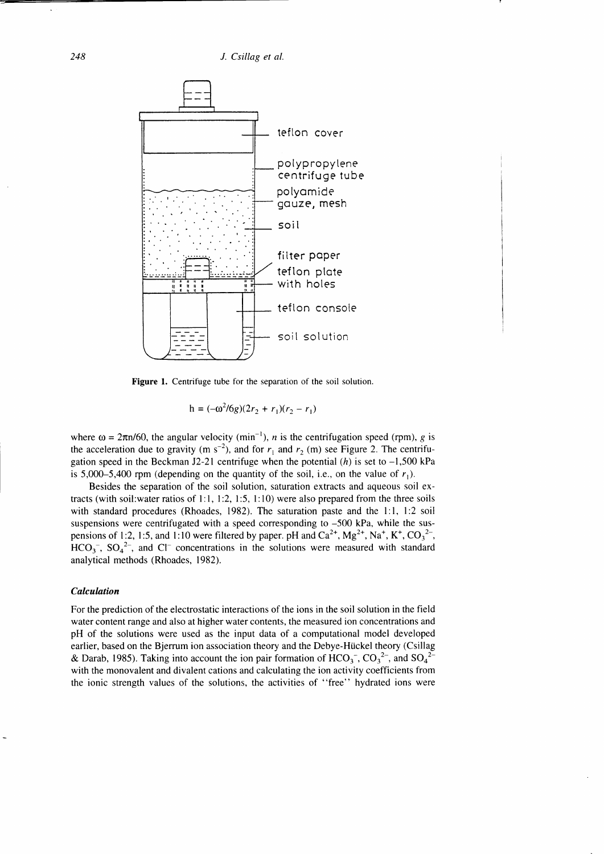248 J. Csillag et al.



Figure 1. Centrifuge tube for the separation of the soil solution.

$$
h = (-\omega^2 / 6g)(2r_2 + r_1)(r_2 - r_1)
$$

where  $\omega = 2\pi n/60$ , the angular velocity (min<sup>-1</sup>), *n* is the centrifugation speed (rpm), *g* is the acceleration due to gravity (m s<sup>-2</sup>), and for  $r_1$  and  $r_2$  (m) see Figure 2. The centrifugation speed in the Beckman J2-21 centrifuge when the potential  $(h)$  is set to  $-1,500$  kPa is 5,000-5,400 rpm (depending on the quantity of the soil, i.e., on the value of  $r_1$ ).

Besides the separation of the soil solution, saturation extracts and aqueous soil extracts (with soil: water ratios of 1:1, 1:2, 1:5, 1:10) were also prepared from the three soils with standard procedures (Rhoades, 1982). The saturation paste and the l:1, l:2 soil suspensions were centrifugated with a speed corresponding to -500 kPa, while the suspensions of 1:2, 1:5, and 1:10 were filtered by paper. pH and  $Ca^{2+}$ ,  $Mg^{2+}$ , Na<sup>+</sup>, K<sup>+</sup>, CO<sub>3</sub><sup>2-</sup>,  $HCO<sub>3</sub>$ ,  $SO<sub>4</sub><sup>2</sup>$ , and Cl<sup>-</sup> concentrations in the solutions were measured with standard analytical methods (Rhoades, 1982).

### Calculation

For the prediction of the electrostatic interactions of the ions in the soil solution in the field water content range and also at higher water contents, the measured ion concentrations and pH of the solutions were used as the input data of a computational model developed earlier, based on the Bjerrum ion association theory and the Debye-Hückel theory (Csillag & Darab, 1985). Taking into account the ion pair formation of  $HCO_3^-$ ,  $CO_3^2^-$ , and  $SO_4^2^$ with the monovalent and divalent cations and calculating the ion activity coefficients from the ionic strength values of the solutions, the activities of "free" hydrated ions were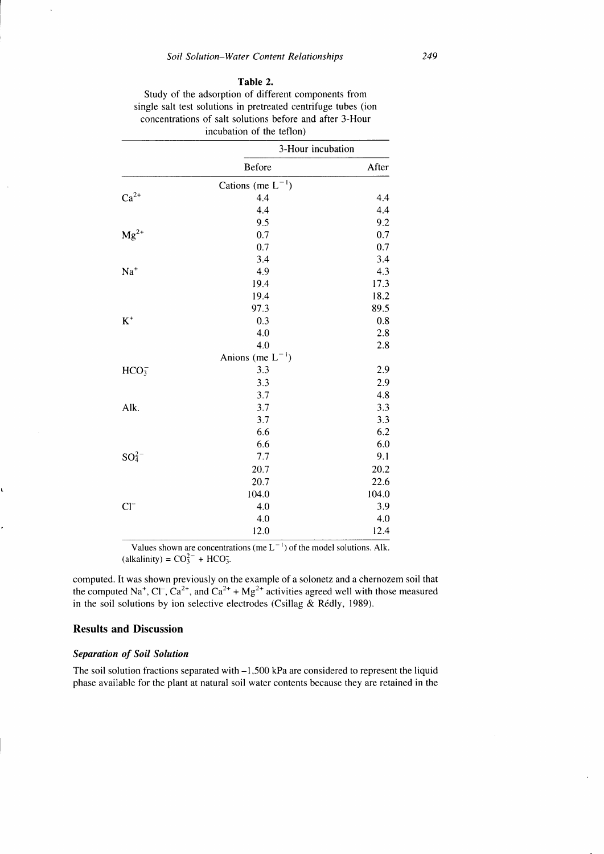## Table 2.

| Study of the adsorption of different components from           |
|----------------------------------------------------------------|
| single salt test solutions in pretreated centrifuge tubes (ion |
| concentrations of salt solutions before and after 3-Hour       |
| incubation of the teflon)                                      |

|                  | 3-Hour incubation      |       |
|------------------|------------------------|-------|
|                  | Before                 | After |
|                  | Cations (me $L^{-1}$ ) |       |
| $Ca^{2+}$        | 4,4                    | 4.4   |
|                  | 4.4                    | 4.4   |
|                  | 9.5                    | 9.2   |
| $Mg^{2+}$        | 0.7                    | 0.7   |
|                  | 0.7                    | 0.7   |
|                  | 3.4                    | 3.4   |
| $\mathrm{Na}^+$  | 4.9                    | 4.3   |
|                  | 19.4                   | 17.3  |
|                  | 19.4                   | 18.2  |
|                  | 97.3                   | 89.5  |
| $\rm K^+$        | 0.3                    | 0.8   |
|                  | 4.0                    | 2.8   |
|                  | 4.0                    | 2.8   |
|                  | Anions (me $L^{-1}$ )  |       |
| HCO <sub>3</sub> | 3.3                    | 2.9   |
|                  | 3.3                    | 2.9   |
|                  | 3.7                    | 4.8   |
| Alk.             | 3.7                    | 3.3   |
|                  | 3.7                    | 3.3   |
|                  | 6.6                    | 6.2   |
|                  | 6.6                    | 6.0   |
| $SO_4^{2-}$      | 7.7                    | 9.1   |
|                  | 20.7                   | 20.2  |
|                  | 20.7                   | 22.6  |
|                  | 104.0                  | 104.0 |
| $Cl^-$           | 4.0                    | 3.9   |
|                  | 4.0                    | 4.0   |
|                  | 12.0                   | 12.4  |
|                  |                        |       |

Values shown are concentrations (me  $L^{-1}$ ) of the model solutions. Alk. (alkalinity) =  $CO_3^{2-}$  + HCO<sub>3</sub>.

computed. It was shown previously on the example of a solonetz and a chernozem soil that the computed Na<sup>+</sup>, Cl<sup>-</sup>, Ca<sup>2+</sup>, and Ca<sup>2+</sup> + Mg<sup>2+</sup> activities agreed well with those measured in the soil solutions by ion selective electrodes (Csillag & Rédly, 1989).

# Results and Discussion

# Separation of Soil Solution

The soil solution fractions separated with  $-1,500$  kPa are considered to represent the liquid phase available for the plant at natural soil water contents because they are retained in the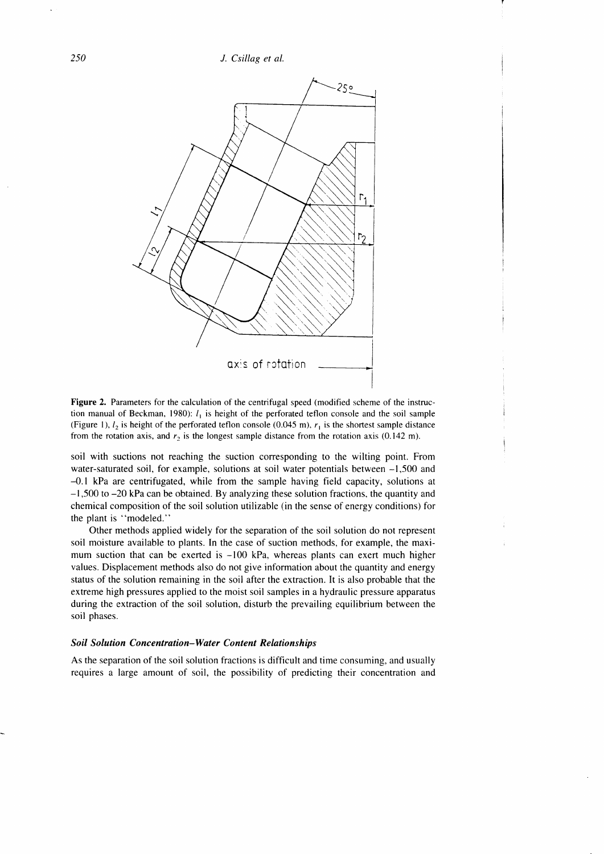250 J. Csillag et al.



Figure 2. Parameters for the calculation of the centrifugal speed (modified scheme of the instruction manual of Beckman, 1980):  $l_1$  is height of the perforated teflon console and the soil sample (Figure 1),  $l_2$  is height of the perforated teflon console (0.045 m),  $r_1$  is the shortest sample distance from the rotation axis, and  $r_2$  is the longest sample distance from the rotation axis (0.142 m).

soil with suctions not reaching the suction coresponding to the wilting point. From water-saturated soil, for example, solutions at soil water potentials between -1,500 and -0.I kPa are centrifugated, while from the sample having field capacity, solutions at -1,500 to -20 kPa can be obtained. By analyzing these solution fractions, the quantity and chemical composition of the soil solution utilizable (in the sense of energy conditions) for the plant is "modeled."

Other methods applied widely for the separation of the soil solution do not represent soil moisture available to plants. In the case of suction methods, for example, the maximum suction that can be exerted is -100 kPa, whereas plants can exert much higher values. Displacement methods also do not give information about the quantity and energy status of the solution remaining in the soil after the extraction. It is also probable that the extreme high pressures applied to the moist soil samples in a hydraulic pressure apparatus during the extraction of the soil solution, disturb the prevailing equilibrium between the soil phases.

#### Soil Solution Concentration-Water Content Relationships

As the separation of the soil solution fractions is difficult and time consuming, and usually requires a large amount of soil, the possibility of predicting their concentration and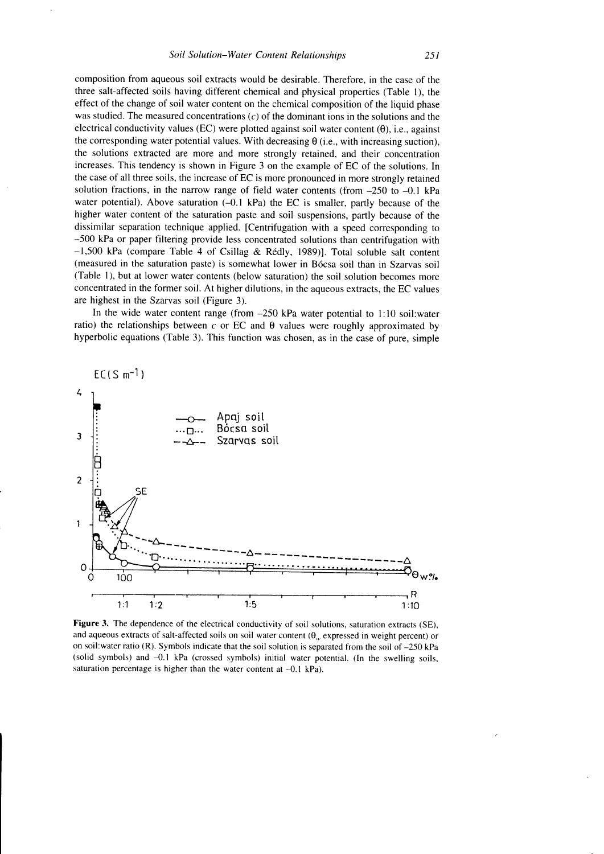composition from aqueous soil extracts would be desirable. Therefore, in the case of the three salt-affected soils having different chemical and physical properties (Table 1), the effect of the change of soil water content on the chemical composition of the liquid phase was studied. The measured concentrations  $(c)$  of the dominant ions in the solutions and the electrical conductivity values (EC) were plotted against soil water content  $(\theta)$ , i.e., against the corresponding water potential values. With decreasing  $\theta$  (i.e., with increasing suction), the solutions extracted are more and more strongly retained, and their concentration increases. This tendency is shown in Figure 3 on the example of EC of the solutions. In the case of all three soils, the increase of EC is more pronounced in more strongly retained solution fractions, in the narrow range of field water contents (from  $-250$  to  $-0.1$  kPa water potential). Above saturation (-0.1 kPa) the EC is smaller, partly because of the higher water content of the saturation paste and soil suspensions, partly because of the dissimilar separation technique applied. [Centrifugation with a speed corresponding to -500 kPa or paper filtering provide less concentrated solutions than centrifugation with  $-1,500$  kPa (compare Table 4 of Csillag & Rédly, 1989)]. Total soluble salt content (measured in the saturation paste) is somewhat lower in B6csa soil than in Szarvas soil (Table 1), but at lower water contents (below saturation) the soil solution becomes more concentrated in the former soil. At higher dilutions, in the aqueous extracts, the EC values are highest in the Szarvas soil (Figure 3).

In the wide water content range (from  $-250$  kPa water potential to 1:10 soil:water ratio) the relationships between c or EC and  $\theta$  values were roughly approximated by hyperbolic equations (Table 3). This function was chosen, as in the case of pure, simple



Figure 3. The dependence of the electrical conductivity of soil solutions, saturation extracts (SE), and aqueous extracts of salt-affected soils on soil water content  $(\theta_{\alpha})$  expressed in weight percent) or on soil:water ratio (R). Symbols indicate that the soil solution is separated from the soil of  $-250$  kPa (solid symbols) and -0.I kPa (crossed symbols) initial water potential. (ln the swelling soils, saturation percentage is higher than the water content at  $-0.1$  kPa).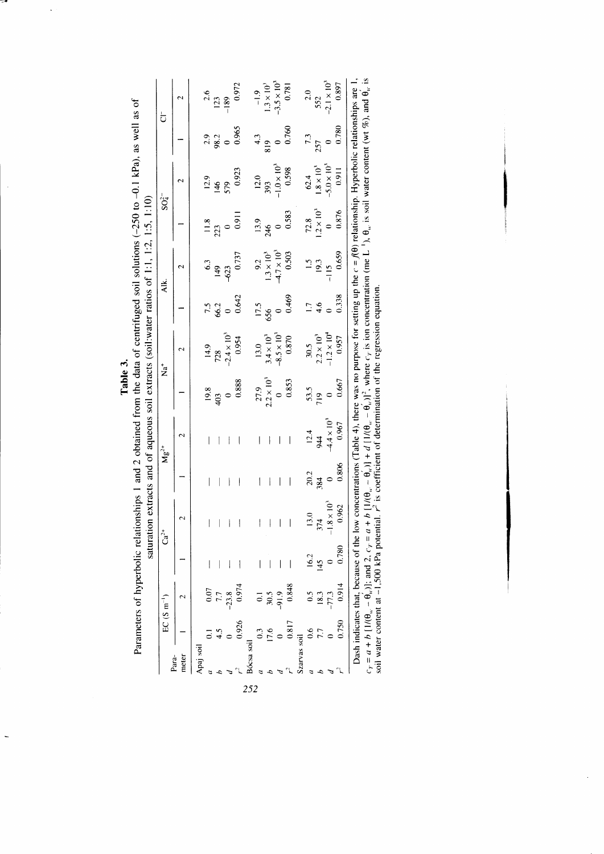|                |             | $EC(S \text{ m}^{-1})$ |       | $\mathrm{Ca}^2$    |                          | $Mg^{2+}$                |                     | ้<br>2               |       | Аlk.                 |                  | $SO_4^{2-}$          |       | ង                    |
|----------------|-------------|------------------------|-------|--------------------|--------------------------|--------------------------|---------------------|----------------------|-------|----------------------|------------------|----------------------|-------|----------------------|
| meter<br>Para- |             |                        |       |                    |                          | $\mathbf{\sim}$          |                     | 2                    |       | N                    |                  | 2                    |       | N                    |
| Apaj soil      |             |                        |       |                    |                          |                          |                     |                      |       |                      |                  |                      |       |                      |
|                |             | 0.07                   |       |                    |                          |                          | 9.8                 | 14.9                 | 7.5   |                      |                  | 12.9                 | 2.9   | 2.6                  |
|                |             | 7.7                    |       |                    |                          |                          | $\frac{403}{2}$     | 28                   |       |                      |                  |                      | 98.2  | 123                  |
|                |             | $-23.8$                |       |                    |                          |                          |                     | $-2.4 \times 10^{4}$ |       |                      |                  |                      |       | $-189$               |
|                |             | 0.974                  |       |                    |                          |                          | 0.888               | 0.954                | 0.642 | 0.737                | $\overline{0.9}$ | 0.923                | 0.965 | 0.972                |
| ócsa soil      |             |                        |       |                    |                          |                          |                     |                      |       |                      |                  |                      |       |                      |
|                |             |                        |       | ۱                  |                          | I                        | 27.9                | 13.0                 | 17.5  | 9.2                  | 13.9             | 12.0                 | 43    | $-1.9$               |
|                | 1.6         |                        |       |                    |                          | j                        | $2.2 \times 10^{3}$ | $3.4 \times 10^{3}$  | 656   | $1.3 \times 10^{3}$  | 246              | 393                  | 819   | $1.3 \times 10^{3}$  |
|                |             | $30.5$<br>$-91.9$      |       |                    |                          | $\overline{\phantom{a}}$ |                     | $-8.5 \times 10^{3}$ |       | $-4.7 \times 10^{3}$ |                  | $-1.0 \times 10^{3}$ |       | $-3.5 \times 10^{3}$ |
|                | 0.817       | 0.848                  |       |                    | $\overline{\phantom{a}}$ | l                        | 0.853               | 0.870                | 0.469 | 0.503                | 0.583            | 0.598                | 0.760 | 0.781                |
|                | zarvas soil |                        |       |                    |                          |                          |                     |                      |       |                      |                  |                      |       |                      |
|                |             | $\ddot{0}$ .5          | 16.2  | 13.0               | 20.2                     | 12.4                     | 53.5                | 30.5                 |       |                      | 72.8             | 62.4                 | 7.3   | 2.0                  |
|                |             | 18.3                   | 145   | 374                | 384                      | $\frac{4}{4}$            | 719                 | $2.2 \times 10^{3}$  | 4.6   | 19.3                 | $2 \times 10^3$  | $1.8 \times 10^{3}$  | 257   | 552                  |
|                |             | $-77.3$                |       | $.8 \times 10^{3}$ |                          | $-4.4 \times 10^{3}$     |                     | $-1.2 \times 10^{4}$ |       | $\frac{5}{1}$        |                  | $-5.0 \times 10^{3}$ |       | $-2.1 \times 10^{3}$ |
|                | 0.750       | 0.914                  | 0.780 | 0.962              | 0.806                    | 0.967                    | 0.667               | 0.957                | 0.338 | 0.659                | 0.876            | 0.911                | 0.780 | 0.897                |

z

 $\overline{\phantom{0}}$ 

 $\ddot{\phantom{a}}$ 

 $c_T = a + b [1/(0_{av} - 0_{av}^{'})]$ ; and 2,  $c_T = a + b [1/(0_{av} - 0_{av}^{'})] + d [1/(0_{av} - 0_{av}^{'})]^2$ , where  $c_T$  is ion concentration (me L<sup>1</sup>),  $\theta_w$  is soil water content (wt %), and  $\theta_w$  is soil water content at -1,500 kPa potential.  $r^2$ 

 $\overline{a}$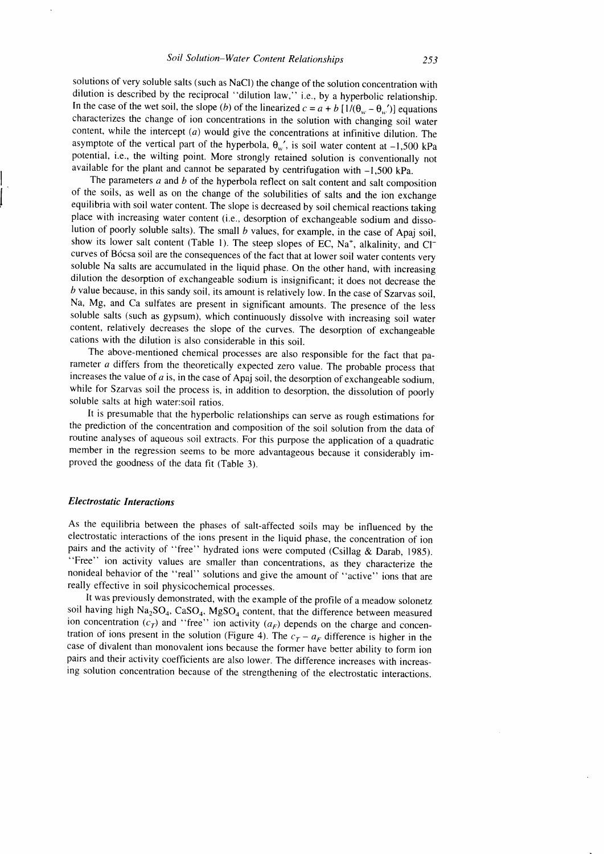solutions of very soluble salts (such as NaCl) the change of the solution concentration with dilution is described by the reciprocal "dilution law," i.e., by a hyperbolic relationship. In the case of the wet soil, the slope (b) of the linearized  $c = a + b [1/(\theta_{w} - \theta_{w'})]$  equations characterizes the change of ion concentrations in the solution with changing soil water content, while the intercept  $(a)$  would give the concentrations at infinitive dilution. The asymptote of the vertical part of the hyperbola,  $\theta_{w}$ , is soil water content at -1,500 kPa potential, i.e., the wilting point. More strongly retained solution is conventionally not available for the plant and cannot be separated by centrifugation with  $-1,500$  kPa.

The parameters  $a$  and  $b$  of the hyperbola reflect on salt content and salt composition of the soils, as well as on the change of the solubilities of salts and the ion exchange equilibria with soil water content. The slope is decreased by soil chemical reactions taking place with increasing water content (i.e., desorption of exchangeable sodium and dissolution of poorly soluble salts). The small  $b$  values, for example, in the case of Apaj soil, show its lower salt content (Table 1). The steep slopes of EC,  $Na<sup>+</sup>$ , alkalinity, and Cl<sup>-</sup> curves of B6csa soil are the consequences of the fact that at lower soil water contents very soluble Na salts are accumulated in the liquid phase. On the other hand, with increasing dilution the desorption of exchangeable sodium is insignificant; it does not decrease the  $b$  value because, in this sandy soil, its amount is relatively low. In the case of Szarvas soil, Na, Mg, and Ca sulfates are present in significant amounts. The presence of the less soluble salts (such as gypsum), which continuously dissolve with increasing soil water content, relatively decreases the slope of the curves. The desorption of exchangeable cations with the dilution is also considerable in this soil.

The above-mentioned chemical processes are also responsible for the fact that parameter  $a$  differs from the theoretically expected zero value. The probable process that increases the value of  $a$  is, in the case of Apaj soil, the desorption of exchangeable sodium, while for Szarvas soil the process is, in addition to desorption, the dissolution of poorly soluble salts at high water:soil ratios.

It is presumable that the hyperbolic relationships can serve as rough estimations for the prediction of the concentration and composition of the soil solution from the data of routine analyses of aqueous soil extracts. For this purpose the application of a quadratic member in the regression seems to be more advantageous because it considerably improved the goodness of the data fit (Table 3).

#### **Electrostatic Interactions**

As the equilibria between the phases of salt-affected soils may be influenced by the electrostatic interactions of the ions present in the liquid phase, the concentration of ion pairs and the activity of "free" hydrated ions were computed (Csillag & Darab, 1985). "Free" ion activity values are smaller than concentrations, as they characterize the nonideal behavior of the "real" solutions and give the amount of "active" ions that are really effective in soil physicochemical processes.

lt was previously demonstrated, with the example of the profile of a meadow solonetz soil having high  $Na_2SO_4$ ,  $CaSO_4$ ,  $MgSO_4$  content, that the difference between measured ion concentration  $(c<sub>T</sub>)$  and "free" ion activity  $(a<sub>F</sub>)$  depends on the charge and concentration of ions present in the solution (Figure 4). The  $c_T - a_F$  difference is higher in the case of divalent than monovalent ions because the former have better ability to form ion pairs and their activity coefficients are also lower. The difference increases with increasing solution concentration because of the strengthening of the electrostatic interactions.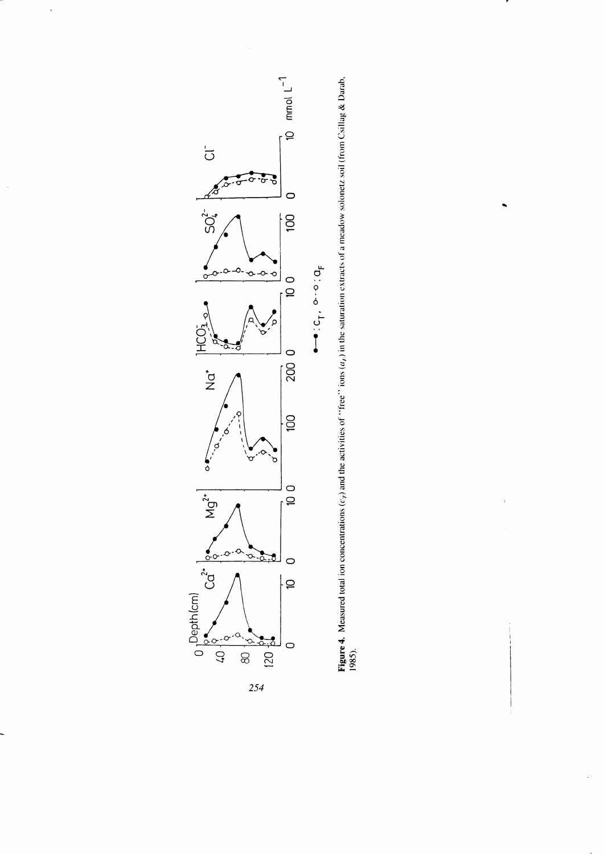

 $\ddot{\phantom{a}}$ 

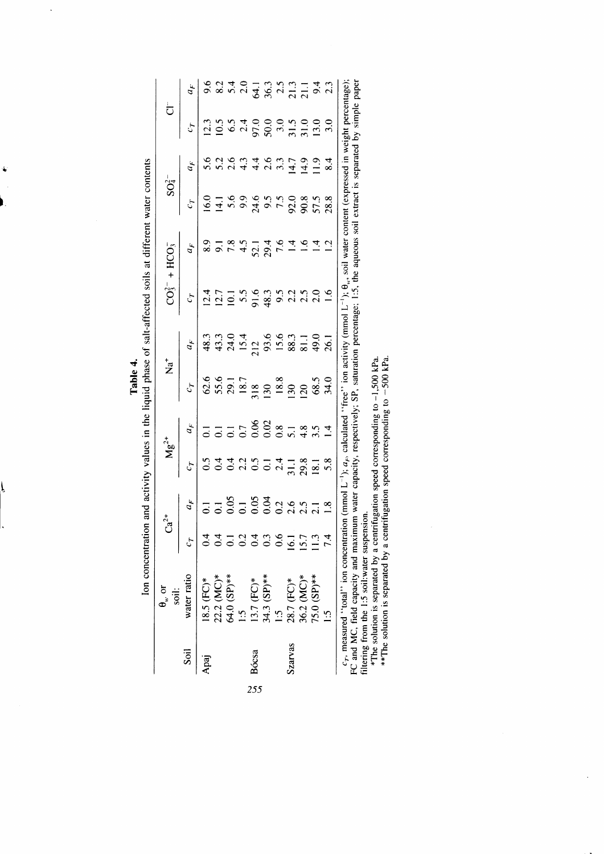|   | į                                                                                 |
|---|-----------------------------------------------------------------------------------|
|   | $\ddot{\cdot}$                                                                    |
|   |                                                                                   |
|   |                                                                                   |
|   | i                                                                                 |
|   |                                                                                   |
| i | $\frac{1}{3}$<br>----                                                             |
|   |                                                                                   |
|   | ֚֚֚֚֚֚֚֚֚֚֞֝֝֬֝֝֝֝֬֝֓֕֝֬֝֓֝֬֝֝֬֝֝֬                                                |
|   | ・ミミ                                                                               |
|   | ֧֦֦֦֦֧֦֦֧֦֧֦֧֦֧֦֧֦֧֦֧֦֧֧֦֧֦֧֦֧֦֧֧֦֧֦֧֦֧֧֦֧֦֧֦֧֧֦֧֧֦֧֧֧֧֦֧֝֝֝֝֝֝֝֝֝֝֝֝֟֓֝֟֓֝֟֓֝֟֓֝ |
|   |                                                                                   |
|   |                                                                                   |
|   | <b>CONTRACTORS CONTRACTORS</b>                                                    |
|   | Inn nom<br>֧֦֧֞ <sup>֓</sup> ֧֦֧֦֓                                                |

 $\ddot{\phantom{a}}$ 

ļ

| $\left.\frac{1}{2}c_0\right $ $\frac{1}{2}$ $\frac{1}{4}$ $\frac{1}{2}$ $\frac{1}{2}$ $\frac{1}{2}$ $\frac{1}{2}$ $\frac{1}{2}$ $\frac{1}{2}$ $\frac{1}{2}$ $\frac{1}{2}$ $\frac{1}{2}$ $\frac{1}{2}$ $\frac{1}{2}$ $\frac{1}{2}$ $\frac{1}{2}$ $\frac{1}{2}$ $\frac{1}{2}$ $\frac{1}{2}$ $\frac{1}{2}$ $\frac{1}{2}$ $\frac$<br>$\begin{array}{c cc}\n\hline\n67 & 4F \\ \hline\n62.6 & 48.3 \\ 55.6 & 43.3 \\ 29.1 & 24.0 \\ 18.7 & 15.4 \\ 18.8 & 212 \\ 190 & 93.6 \\ 18.8 & 15.6 \\ 18.8 & 15.6 \\ 18.3 & 49.0 \\ 130 & 88.3 \\ 18.5 & 49.0 \\ \hline\n\end{array}$<br>$1 - 2 + 36$<br>$0 - 0 - 0 - 0$<br>$16.1$<br>$15.7$<br>$11.3$<br>74<br>water ratio<br>13.7 (FC)*<br>34.3 (SP)**<br>1.5<br>28.7 (FC)*<br>36.2 (MC)*<br>75.0 (SP)**<br>$22.2 \, (MC)*$<br>64.0 $(SP)**$<br>$18.5$ (FC)*<br>$\ddot{5}$<br>$\ddot{\Omega}$<br>szarvas<br>Soil<br>Bócsa<br>255 | $\theta_{w}$ or<br>soil: |  |  | $\overline{z}^*$ |  |  |  |  |
|-----------------------------------------------------------------------------------------------------------------------------------------------------------------------------------------------------------------------------------------------------------------------------------------------------------------------------------------------------------------------------------------------------------------------------------------------------------------------------------------------------------------------------------------------------------------------------------------------------------------------------------------------------------------------------------------------------------------------------------------------------------------------------------------------------------------------------------------------------------------------|--------------------------|--|--|------------------|--|--|--|--|
|                                                                                                                                                                                                                                                                                                                                                                                                                                                                                                                                                                                                                                                                                                                                                                                                                                                                       |                          |  |  |                  |  |  |  |  |
|                                                                                                                                                                                                                                                                                                                                                                                                                                                                                                                                                                                                                                                                                                                                                                                                                                                                       |                          |  |  |                  |  |  |  |  |
|                                                                                                                                                                                                                                                                                                                                                                                                                                                                                                                                                                                                                                                                                                                                                                                                                                                                       |                          |  |  |                  |  |  |  |  |
|                                                                                                                                                                                                                                                                                                                                                                                                                                                                                                                                                                                                                                                                                                                                                                                                                                                                       |                          |  |  |                  |  |  |  |  |
|                                                                                                                                                                                                                                                                                                                                                                                                                                                                                                                                                                                                                                                                                                                                                                                                                                                                       |                          |  |  |                  |  |  |  |  |
|                                                                                                                                                                                                                                                                                                                                                                                                                                                                                                                                                                                                                                                                                                                                                                                                                                                                       |                          |  |  |                  |  |  |  |  |
|                                                                                                                                                                                                                                                                                                                                                                                                                                                                                                                                                                                                                                                                                                                                                                                                                                                                       |                          |  |  |                  |  |  |  |  |
|                                                                                                                                                                                                                                                                                                                                                                                                                                                                                                                                                                                                                                                                                                                                                                                                                                                                       |                          |  |  |                  |  |  |  |  |
|                                                                                                                                                                                                                                                                                                                                                                                                                                                                                                                                                                                                                                                                                                                                                                                                                                                                       |                          |  |  |                  |  |  |  |  |
|                                                                                                                                                                                                                                                                                                                                                                                                                                                                                                                                                                                                                                                                                                                                                                                                                                                                       |                          |  |  |                  |  |  |  |  |
|                                                                                                                                                                                                                                                                                                                                                                                                                                                                                                                                                                                                                                                                                                                                                                                                                                                                       |                          |  |  |                  |  |  |  |  |
|                                                                                                                                                                                                                                                                                                                                                                                                                                                                                                                                                                                                                                                                                                                                                                                                                                                                       |                          |  |  |                  |  |  |  |  |

 $c_r$ , measured "total" ion concentration (mmol L<sup>-1</sup>);  $a_r$ , calculated "free" ion activity (mmol L<sup>-1</sup>);  $\theta_u$ , soil water content (expressed in weight percentage);<br>FC and MC, field capacity and maximum water capacity, r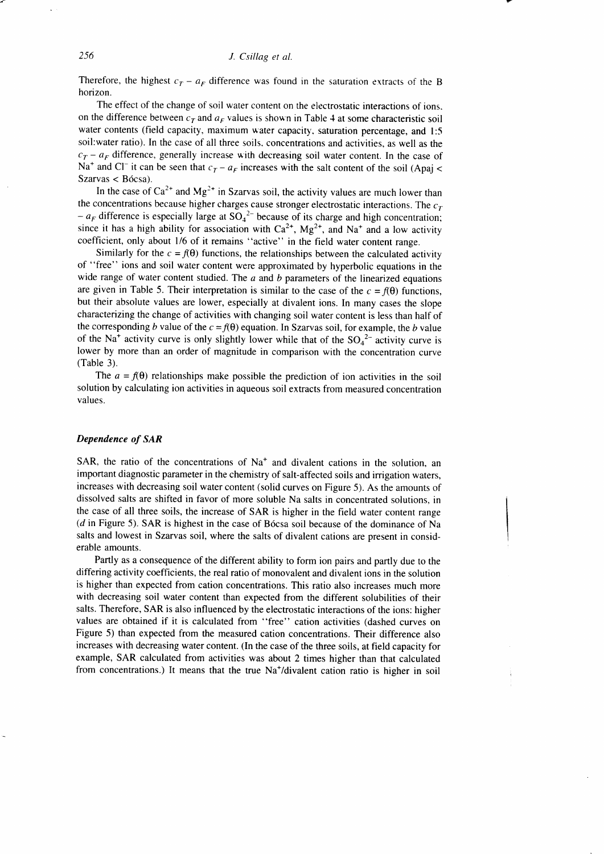Therefore, the highest  $c_T - a_F$  difference was found in the saturation extracts of the B horizon.

The effect of the change of soil water content on the electrostatic interactions of ions. on the difference between  $c<sub>T</sub>$  and  $a<sub>F</sub>$  values is shown in Table 4 at some characteristic soil water contents (field capacity, maximum water capacity, saturation percentage, and 1:5 soil:water ratio). In the case of all three soils. concentrations and activities, as well as the  $c_T - a_F$  difference, generally increase with decreasing soil water content. In the case of Na<sup>+</sup> and Cl<sup>-</sup> it can be seen that  $c_T - a_F$  increases with the salt content of the soil (Apaj < Szarvas < Bócsa).

In the case of  $Ca^{2+}$  and  $Mg^{2+}$  in Szarvas soil, the activity values are much lower than the concentrations because higher charges cause stronger electrostatic interactions. The  $c<sub>r</sub>$  $-a_F$  difference is especially large at  $SO_4^2$  because of its charge and high concentration; since it has a high ability for association with  $Ca^{2+}$ ,  $Mg^{2+}$ , and Na<sup>+</sup> and a low activity coefficient, only about 1/6 of it remains "active" in the field water content range.

Similarly for the  $c = f(\theta)$  functions, the relationships between the calculated activity of "free" ions and soil water content were approximated by hyperbolic equations in the wide range of water content studied. The  $a$  and  $b$  parameters of the linearized equations are given in Table 5. Their interpretation is similar to the case of the  $c = f(\theta)$  functions, but their absolute values are lower, especially at divalent ions. In many cases the slope characterizing the change of activities with changing soil water content is less than half of the corresponding b value of the  $c = f(\theta)$  equation. In Szarvas soil, for example, the b value of the Na<sup>+</sup> activity curve is only slightly lower while that of the  $SO_4^2$ <sup>-</sup> activity curve is lower by more than an order of magnitude in comparison with the concentration curve (Table 3).

The  $a = f(\theta)$  relationships make possible the prediction of ion activities in the soil solution by calculating ion activities in aqueous soil extracts from measured concentration values.

# Dependence of SAR

SAR, the ratio of the concentrations of  $Na<sup>+</sup>$  and divalent cations in the solution, an important diagnostic parameter in the chemistry of salt-affected soils and irrigation waters, increases with decreasing soil water content (solid curves on Figure 5). As the amounts of dissolved salts are shifted in favor of more soluble Na salts in concentrated solutions, in the case of all three soils, the increase of SAR is higher in the field water content range (d in Figure 5). SAR is highest in the case of B6csa soil because of the dominance of Na salts and lowest in Szarvas soil, where the salts of divalent cations are present in considerable amounts.

Partly as a consequence of the different ability to form ion pairs and partly due to the differing activity coefficients, the real ratio of monovalent and divalent ions in the solution is higher than expected from cation concentrations. This ratio also increases much more with decreasing soil water content than expected from the different solubilities of their salts. Therefore, SAR is also influenced by the electrostatic interactions of the ions: higher values are obtained if it is calculated from "free" cation activities (dashed curves on Figure 5) than expected from the measured cation concentrations. Their difference also increases with decreasing water content. (In the case of the three soils, at field capacity for example, SAR calculated from activities was about 2 times higher than that calculated from concentrations.) It means that the true Na<sup>+</sup>/divalent cation ratio is higher in soil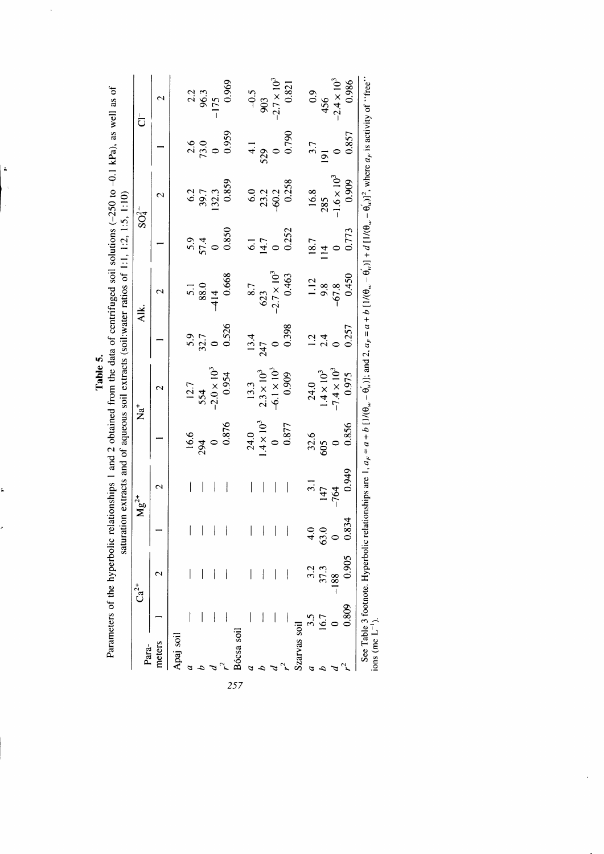| Para-        |       | $Ca^{2+}$                |                                       | $Mg^{2+}$                |                    | $\stackrel{+}{\mathbf{z}}$                                     |             | ≹.<br><                |                 | $SO4$ <sup>-</sup>   |                    | $\overline{\texttt{C}}$ |
|--------------|-------|--------------------------|---------------------------------------|--------------------------|--------------------|----------------------------------------------------------------|-------------|------------------------|-----------------|----------------------|--------------------|-------------------------|
| meters       |       | $\overline{\mathcal{C}}$ |                                       | 2                        |                    | 2                                                              |             | $\mathbf{\sim}$        |                 | 2                    |                    | $\mathrel{\sim}$        |
| Apaj soil    |       |                          |                                       |                          |                    |                                                                |             |                        |                 |                      |                    |                         |
|              |       |                          | $\mathbf{I}$                          | I                        | $\frac{16.6}{294}$ |                                                                |             |                        |                 |                      |                    |                         |
|              |       |                          | $\begin{array}{c} \hline \end{array}$ |                          |                    | $\begin{array}{c} 12.7 \\ 554 \\ -2.0 \times 10^3 \end{array}$ | 5.9<br>32.7 | $\frac{5.1}{1.5}$      | 57.4<br>57.4    | $6.2$<br>39.7        | $\frac{2.6}{73.0}$ | $\frac{2.2}{96.3}$      |
|              |       |                          | $\mathbf{I}$                          | $\vert$                  |                    |                                                                |             | $-414$                 |                 | 132.3                |                    | $-175$                  |
|              |       |                          | $\, \vert \,$                         | $\overline{\phantom{a}}$ | 0.876              | 0.954                                                          | 0.526       | 0.668                  | 0.850           | 0.859                | 0.959              | 0.969                   |
| Bócsa soi    |       |                          |                                       |                          |                    |                                                                |             |                        |                 |                      |                    |                         |
|              |       |                          | $\vert$                               | $\overline{\phantom{a}}$ | 24.0               | 13.3                                                           | 13.4        | 8.7                    | $\overline{61}$ | 6.0                  |                    |                         |
|              |       |                          | $\begin{array}{c} \hline \end{array}$ | $\overline{\phantom{a}}$ | $4 \times 10^{3}$  | $2.3 \times 10^{3}$<br>-6.1 $\times 10^{3}$                    | 247         | $623 -2.7 \times 10^3$ | 14.7            |                      |                    | $-0.5$<br>903           |
|              |       |                          | $\overline{\phantom{a}}$              | $\overline{\phantom{a}}$ | $\circ$            |                                                                |             |                        |                 | 23.2                 |                    | $-2.7 \times 10^{3}$    |
|              |       |                          | $\overline{\phantom{a}}$              | $\mid$                   | 0.877              | 0.909                                                          | 0.398       | 0.463                  | 0.252           | 0.258                | 0.790              | 0.821                   |
| Szarvas soil |       |                          |                                       |                          |                    |                                                                |             |                        |                 |                      |                    |                         |
|              | 3.5   | 3.2                      |                                       | $\overline{3}$ .         | 32.6               | 24.0                                                           |             | 1.12                   | 18.7            | 16.8                 |                    | $^{0.9}$                |
|              | 16.7  | 37.3                     | $\ddot{6}$                            | 147                      | 605                | $1.4 \times 10^{3}$                                            | 2.4         | 9.8                    |                 | 285                  |                    | 456                     |
|              |       | $-188$                   |                                       | $-764$                   |                    | $-7.4 \times 10^{3}$                                           |             | $-67.8$                |                 | $-1.6 \times 10^{3}$ |                    | $-2.4 \times 10^{3}$    |
|              | 0.809 | 0.905                    | 834                                   | 0.949                    | 0.856              | 0.975                                                          | 0.257       |                        | 0.773           | 0.909                | 0.857              | 0.986                   |

Table 5.

l,

 $\ddot{\bullet}$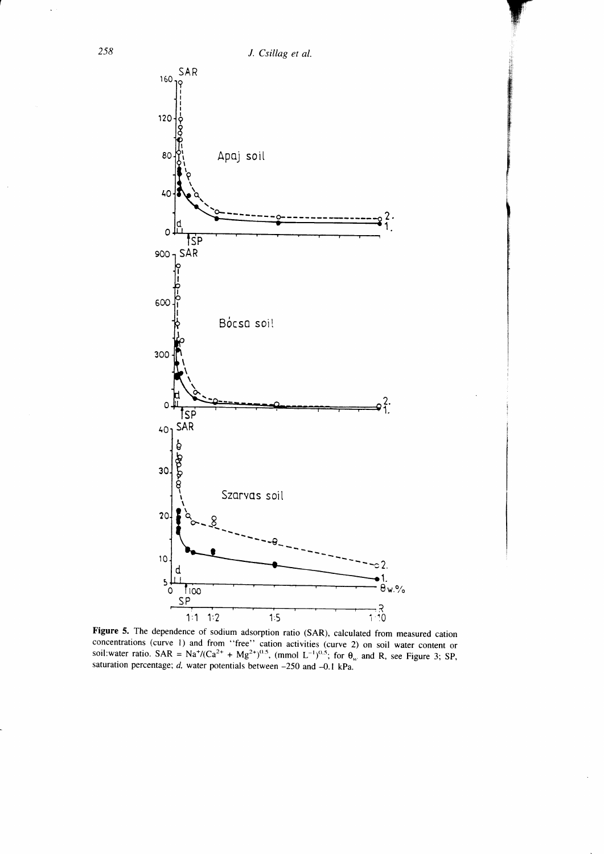

Figure 5. The dependence of sodium adsorption ratio (SAR), calculated from measured cation concentrations (curve 1) and from "free" cation activities (curve 2) on soil water content or<br>soil:water ratio. SAR = Na<sup>+</sup>/(Ca<sup>2+</sup> + Mg<sup>2+)0.5</sup>, (mmol L<sup>-1</sup>)<sup>0.5</sup>; for  $\theta_w$  and R, see Figure 3; SP, saturation percentage;  $d$ , water potentials between -250 and -0.1 kPa.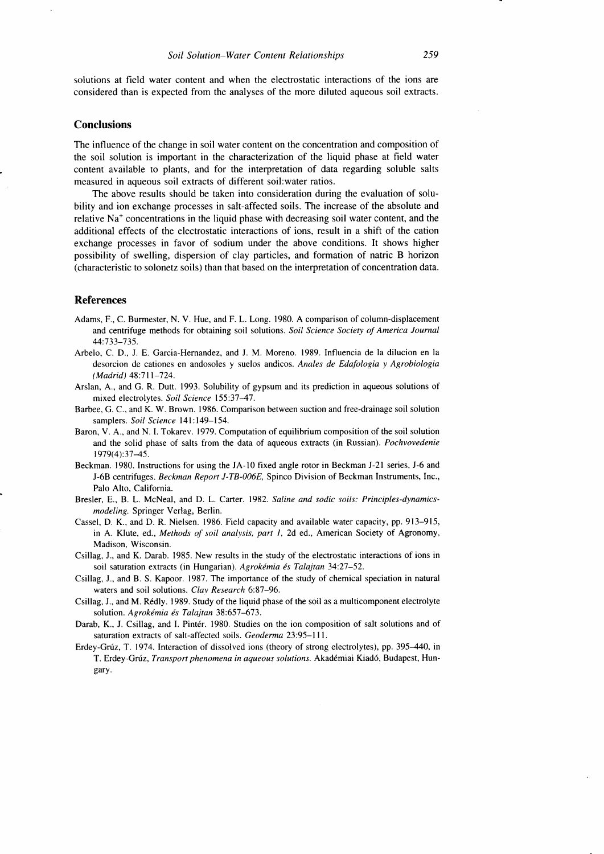solutions at field water content and when the electrostatic interactions of the ions are considered than is expected from the analyses of the more diluted aqueous soil extracts.

#### **Conclusions**

The influence of the change in soil water content on the concentration and composition of the soil solution is important in the characterization of the liquid phase at field water content available to plants, and for the interpretation of data regarding soluble salts measured in aqueous soil extracts of different soil:water ratios.

The above results should be taken into consideration during the evaluation of solubility and ion exchange processes in salt-affected soils. The increase of the absolute and relative Na\* concentrations in the liquid phase with decreasing soil water content, and the additional effects of the electrostatic interactions of ions, result in a shift of the cation exchange processes in favor of sodium under the above conditions. It shows higher possibility of swelling, dispersion of clay particles, and formation of natric B horizon (characteristic to solonetz soils) than that based on the interpretation of concentration data.

## References

- Adams, F., C. Burmester, N. V. Hue, and F. L. Long. 1980. A comparison of column-displacement and centrifuge methods for obtaining soil solutions. Soil Science Society of America Journal 44:733-735.
- Arbelo, C. D., J. E. Garcia-Hernandez, and J. M. Moreno. 1989. Influencia de la dilucion en la desorcion de cationes en andosoles y suelos andicos. Anales de Edafologia y Agrobiologia (Madrid) 48:7ll-724.
- Arslan, A., and G. R. Dutt. 1993. Solubility of gypsum and its prediction in aqueous solutions of mixed electrolytes. Soil Science 155:37-47.
- Barbee, G. C., and K. W. Brown. 1986. Comparison between suction and free-drainage soil solution samplers. Soil Science 141:149-154.
- Baron, V. A., and N. I. Tokarev. 1979. Computation of equilibrium composition of the soil solution and the solid phase of salts from the data of aqueous extracts (in Russian). Pochvovedenie 1979(4):3745.
- Beckman. 1980. Instructions for using the JA- l0 fixed angle rotor in Beckman J-21 series, J-6 and J-6B centrifuges. Beckman Report J-TB-006E, Spinco Division of Beckman lnstruments, Inc., Palo Alto, California.
- Bresler, E., B. L. McNeal, and D. L. Carter. 1982. Saline and sodic soils: Principles-dynamicsmodeling. Springer Verlag, Berlin.
- Cassel, D. K., and D. R. Nielsen. 1986. Field capacity and available water capacity, pp.9l3-915, in A. Klute, ed., Methods of soil analysis, part I, 2d ed., American Society of Agronomy, Madison, Wisconsin.
- Csillag, J., and K. Darab. 1985. New results in the study of the electrostatic interactions of ions in soil saturation extracts (in Hungarian). Agrokémia és Talajtan 34:27-52.
- Csillag, J., and B. S. Kapoor. 1987. The importance of the study of chemical speciation in natural waters and soil solutions. CIay Research 6:87-96.
- Csillag, J., and M. R6dly. 1989. Study of the liquid phase of the soil as a multicomponent electrolyte solution. Agrokémia és Talajtan 38:657-673.
- Darab, K., J. Csillag, and I. Pintér. 1980. Studies on the ion composition of salt solutions and of saturation extracts of salt-affected soils. Geoderma 23:95-lll.
- Erdey-Grúz, T. 1974. Interaction of dissolved ions (theory of strong electrolytes), pp. 395–440, in T. Erdey-Grúz, Transport phenomena in aqueous solutions. Akadémiai Kiadó, Budapest, Hungary.